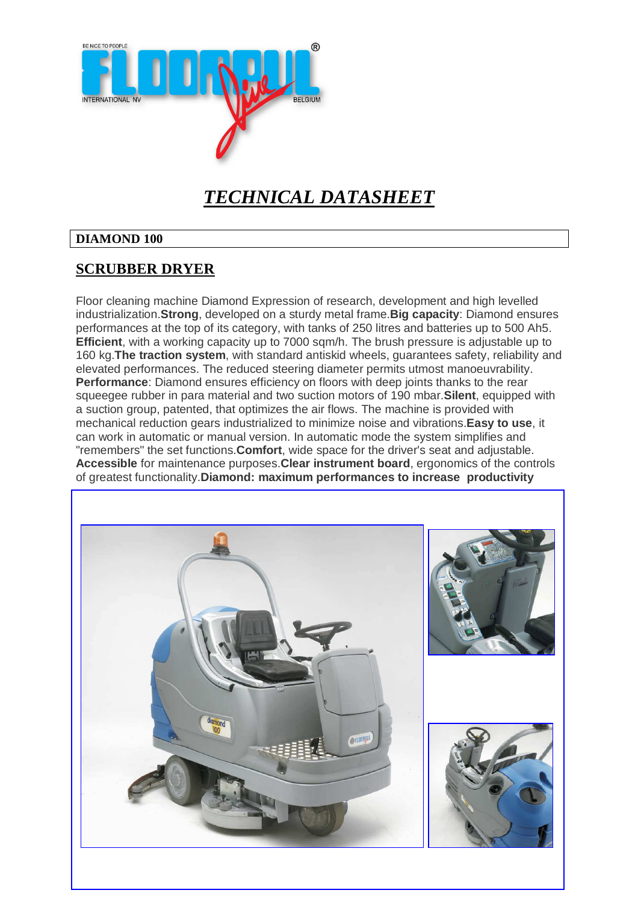

### *TECHNICAL DATASHEET*

#### **DIAMOND 100**

#### **SCRUBBER DRYER**

Floor cleaning machine Diamond Expression of research, development and high levelled industrialization.**Strong**, developed on a sturdy metal frame.**Big capacity**: Diamond ensures performances at the top of its category, with tanks of 250 litres and batteries up to 500 Ah5. **Efficient**, with a working capacity up to 7000 sqm/h. The brush pressure is adjustable up to 160 kg.**The traction system**, with standard antiskid wheels, guarantees safety, reliability and elevated performances. The reduced steering diameter permits utmost manoeuvrability. **Performance**: Diamond ensures efficiency on floors with deep joints thanks to the rear squeegee rubber in para material and two suction motors of 190 mbar.**Silent**, equipped with a suction group, patented, that optimizes the air flows. The machine is provided with mechanical reduction gears industrialized to minimize noise and vibrations.**Easy to use**, it can work in automatic or manual version. In automatic mode the system simplifies and "remembers" the set functions.**Comfort**, wide space for the driver's seat and adjustable. **Accessible** for maintenance purposes.**Clear instrument board**, ergonomics of the controls of greatest functionality.**Diamond: maximum performances to increase productivity**

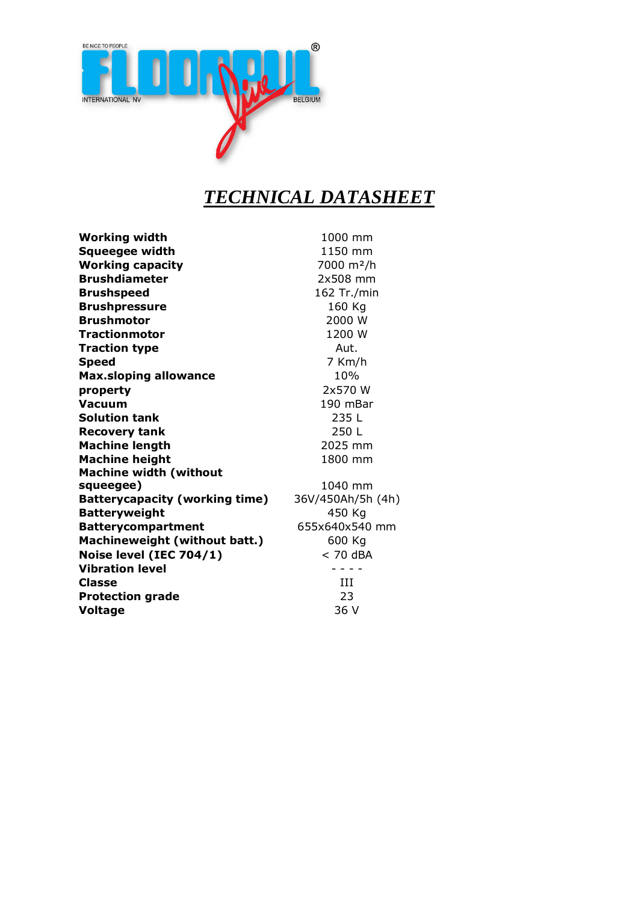

## *TECHNICAL DATASHEET*

| <b>Working width</b>                  | 1000 mm                |
|---------------------------------------|------------------------|
| Squeegee width                        | 1150 mm                |
| <b>Working capacity</b>               | 7000 m <sup>2</sup> /h |
| <b>Brushdiameter</b>                  | 2x508 mm               |
| <b>Brushspeed</b>                     | 162 Tr./min            |
| <b>Brushpressure</b>                  | 160 Kg                 |
| <b>Brushmotor</b>                     | 2000 W                 |
| <b>Tractionmotor</b>                  | 1200 W                 |
| <b>Traction type</b>                  | Aut.                   |
| <b>Speed</b>                          | 7 Km/h                 |
| <b>Max.sloping allowance</b>          | 10%                    |
| property                              | 2x570 W                |
| Vacuum                                | 190 mBar               |
| <b>Solution tank</b>                  | 235 L                  |
| <b>Recovery tank</b>                  | 250 L                  |
| <b>Machine length</b>                 | 2025 mm                |
| <b>Machine height</b>                 | 1800 mm                |
| <b>Machine width (without</b>         |                        |
| squeegee)                             | 1040 mm                |
| <b>Batterycapacity (working time)</b> | 36V/450Ah/5h (4h)      |
| <b>Batteryweight</b>                  | 450 Kg                 |
| <b>Batterycompartment</b>             | 655x640x540 mm         |
| Machineweight (without batt.)         | 600 Kg                 |
| Noise level (IEC 704/1)               | $< 70$ dBA             |
| <b>Vibration level</b>                |                        |
| Classe                                | ИI                     |
| <b>Protection grade</b>               | 23                     |
| <b>Voltage</b>                        | 36 V                   |